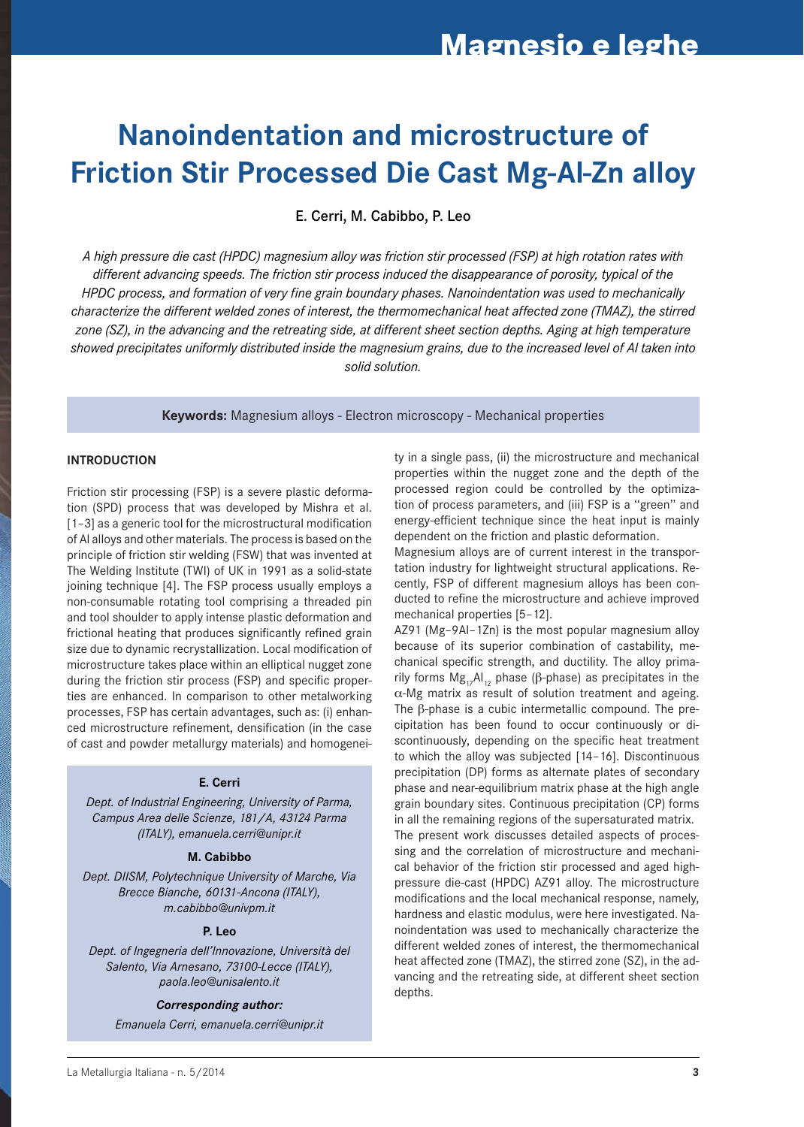# **Nanoindentation and microstructure of Friction Stir Processed Die Cast Mg-Al-Zn alloy**

E. Cerri, M. Cabibbo, P. Leo

*A high pressure die cast (HPDC) magnesium alloy was friction stir processed (FSP) at high rotation rates with different advancing speeds. The friction stir process induced the disappearance of porosity, typical of the HPDC process, and formation of very fine grain boundary phases. Nanoindentation was used to mechanically characterize the different welded zones of interest, the thermomechanical heat affected zone (TMAZ), the stirred zone (SZ), in the advancing and the retreating side, at different sheet section depths. Aging at high temperature showed precipitates uniformly distributed inside the magnesium grains, due to the increased level of Al taken into solid solution.*

**Keywords:** Magnesium alloys - Electron microscopy - Mechanical properties

#### **INtroDuCtIoN**

Friction stir processing (FSP) is a severe plastic deformation (SPD) process that was developed by Mishra et al. [1–3] as a generic tool for the microstructural modification of Al alloys and other materials. The process is based on the principle of friction stir welding (FSW) that was invented at The Welding Institute (TWI) of UK in 1991 as a solid-state joining technique [4]. The FSP process usually employs a non-consumable rotating tool comprising a threaded pin and tool shoulder to apply intense plastic deformation and frictional heating that produces significantly refined grain size due to dynamic recrystallization. Local modification of microstructure takes place within an elliptical nugget zone during the friction stir process (FSP) and specific properties are enhanced. In comparison to other metalworking processes, FSP has certain advantages, such as: (i) enhanced microstructure refinement, densification (in the case of cast and powder metallurgy materials) and homogenei-

#### **E. Cerri**

*Dept. of Industrial Engineering, University of Parma, Campus Area delle Scienze, 181/A, 43124 Parma (ITALY), emanuela.cerri@unipr.it*

#### **M. Cabibbo**

*Dept. DIISM, Polytechnique University of Marche, Via Brecce Bianche, 60131-Ancona (ITALY), m.cabibbo@univpm.it*

#### **P. Leo**

*Dept. of Ingegneria dell'Innovazione, Università del Salento, Via Arnesano, 73100-Lecce (ITALY), paola.leo@unisalento.it*

#### *Corresponding author:*

*Emanuela Cerri, emanuela.cerri@unipr.it*

ty in a single pass, (ii) the microstructure and mechanical properties within the nugget zone and the depth of the processed region could be controlled by the optimization of process parameters, and (iii) FSP is a ''green'' and energy-efficient technique since the heat input is mainly dependent on the friction and plastic deformation.

Magnesium alloys are of current interest in the transportation industry for lightweight structural applications. Recently, FSP of different magnesium alloys has been conducted to refine the microstructure and achieve improved mechanical properties [5–12].

AZ91 (Mg–9Al–1Zn) is the most popular magnesium alloy because of its superior combination of castability, mechanical specific strength, and ductility. The alloy primarily forms  $Mg_{17}Al_{12}$  phase (β-phase) as precipitates in the  $\alpha$ -Mg matrix as result of solution treatment and ageing. The β-phase is a cubic intermetallic compound. The precipitation has been found to occur continuously or discontinuously, depending on the specific heat treatment to which the alloy was subjected [14–16]. Discontinuous precipitation (DP) forms as alternate plates of secondary phase and near-equilibrium matrix phase at the high angle grain boundary sites. Continuous precipitation (CP) forms in all the remaining regions of the supersaturated matrix. The present work discusses detailed aspects of processing and the correlation of microstructure and mechanical behavior of the friction stir processed and aged highpressure die-cast (HPDC) AZ91 alloy. The microstructure modifications and the local mechanical response, namely, hardness and elastic modulus, were here investigated. Nanoindentation was used to mechanically characterize the different welded zones of interest, the thermomechanical heat affected zone (TMAZ), the stirred zone (SZ), in the advancing and the retreating side, at different sheet section depths.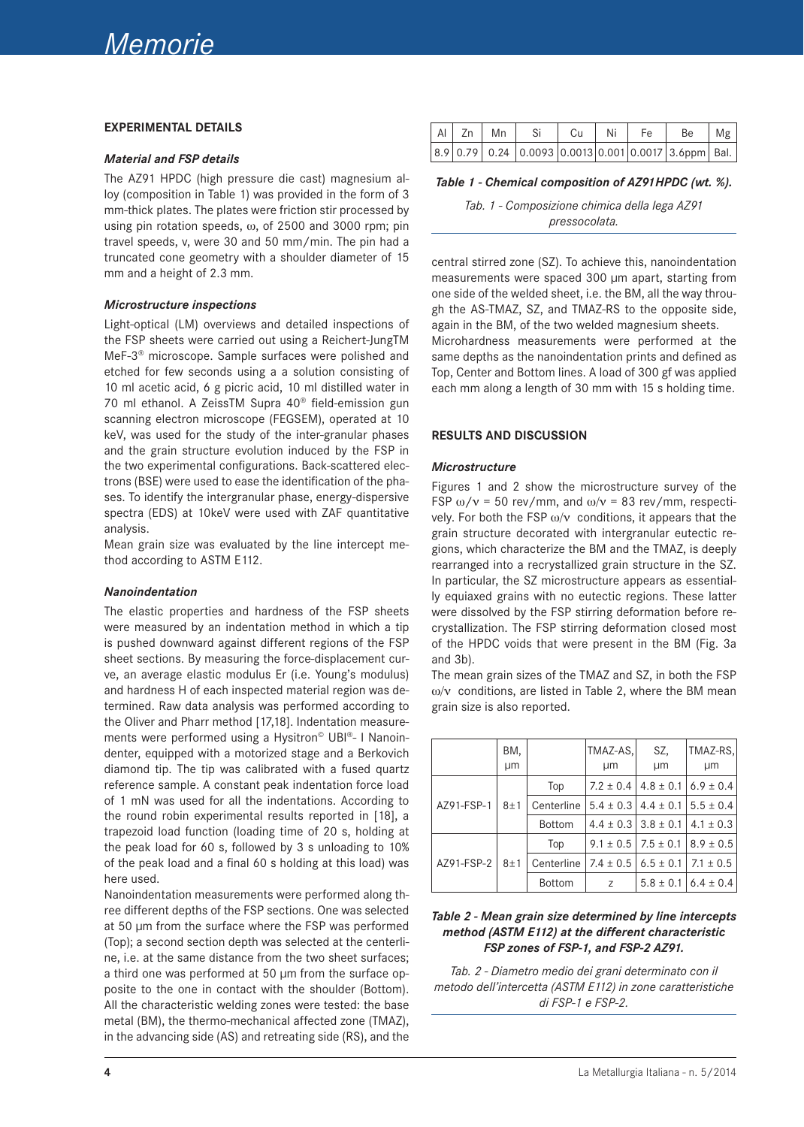#### **ExPErIMENtAL DEtAILS**

#### *Material and FSP details*

The AZ91 HPDC (high pressure die cast) magnesium alloy (composition in Table 1) was provided in the form of 3 mm-thick plates. The plates were friction stir processed by using pin rotation speeds, ω, of 2500 and 3000 rpm; pin travel speeds, v, were 30 and 50 mm/min. The pin had a truncated cone geometry with a shoulder diameter of 15 mm and a height of 2.3 mm.

#### *Microstructure inspections*

Light-optical (LM) overviews and detailed inspections of the FSP sheets were carried out using a Reichert-JungTM MeF-3® microscope. Sample surfaces were polished and etched for few seconds using a a solution consisting of 10 ml acetic acid, 6 g picric acid, 10 ml distilled water in 70 ml ethanol. A ZeissTM Supra 40® field-emission gun scanning electron microscope (FEGSEM), operated at 10 keV, was used for the study of the inter-granular phases and the grain structure evolution induced by the FSP in the two experimental configurations. Back-scattered electrons (BSE) were used to ease the identification of the phases. To identify the intergranular phase, energy-dispersive spectra (EDS) at 10keV were used with ZAF quantitative analysis.

Mean grain size was evaluated by the line intercept method according to ASTM E112.

#### *Nanoindentation*

The elastic properties and hardness of the FSP sheets were measured by an indentation method in which a tip is pushed downward against different regions of the FSP sheet sections. By measuring the force-displacement curve, an average elastic modulus Er (i.e. Young's modulus) and hardness H of each inspected material region was determined. Raw data analysis was performed according to the Oliver and Pharr method [17,18]. Indentation measurements were performed using a Hysitron<sup>®</sup> UBI®- I Nanoindenter, equipped with a motorized stage and a Berkovich diamond tip. The tip was calibrated with a fused quartz reference sample. A constant peak indentation force load of 1 mN was used for all the indentations. According to the round robin experimental results reported in [18], a trapezoid load function (loading time of 20 s, holding at the peak load for 60 s, followed by 3 s unloading to 10% of the peak load and a final 60 s holding at this load) was here used.

Nanoindentation measurements were performed along three different depths of the FSP sections. One was selected at 50 μm from the surface where the FSP was performed (Top); a second section depth was selected at the centerline, i.e. at the same distance from the two sheet surfaces; a third one was performed at 50 μm from the surface opposite to the one in contact with the shoulder (Bottom). All the characteristic welding zones were tested: the base metal (BM), the thermo-mechanical affected zone (TMAZ), in the advancing side (AS) and retreating side (RS), and the

| Al Zn Mn | - Si | Cu | l Ni | l Fe | $Be$ $Mg$                                                  |  |
|----------|------|----|------|------|------------------------------------------------------------|--|
|          |      |    |      |      | $ 8.9 0.79 0.24 0.0093 0.0013 0.001 0.0017 3.6$ ppm   Bal. |  |

#### *Table 1 - Chemical composition of AZ91HPDC (wt. %).*

*Tab. 1 - Composizione chimica della lega AZ91 pressocolata.*

central stirred zone (SZ). To achieve this, nanoindentation measurements were spaced 300 μm apart, starting from one side of the welded sheet, i.e. the BM, all the way through the AS-TMAZ, SZ, and TMAZ-RS to the opposite side, again in the BM, of the two welded magnesium sheets. Microhardness measurements were performed at the same depths as the nanoindentation prints and defined as Top, Center and Bottom lines. A load of 300 gf was applied each mm along a length of 30 mm with 15 s holding time.

#### **rESuLtS AND DISCuSSIoN**

#### *Microstructure*

Figures 1 and 2 show the microstructure survey of the FSP  $\omega/v = 50$  rev/mm, and  $\omega/v = 83$  rev/mm, respectively. For both the FSP  $\omega/v$  conditions, it appears that the grain structure decorated with intergranular eutectic regions, which characterize the BM and the TMAZ, is deeply rearranged into a recrystallized grain structure in the SZ. In particular, the SZ microstructure appears as essentially equiaxed grains with no eutectic regions. These latter were dissolved by the FSP stirring deformation before recrystallization. The FSP stirring deformation closed most of the HPDC voids that were present in the BM (Fig. 3a and 3b).

The mean grain sizes of the TMAZ and SZ, in both the FSP  $ω/v$  conditions, are listed in Table 2, where the BM mean grain size is also reported.

|            | BM.<br>μm |               | TMAZ-AS,<br>µm                | SZ,<br>μm                     | TMAZ-RS, <br>µm |
|------------|-----------|---------------|-------------------------------|-------------------------------|-----------------|
|            | 8±1       | Top           | $7.2 \pm 0.4$                 | $4.8 \pm 0.1$                 | $6.9 \pm 0.4$   |
| AZ91-FSP-1 |           | Centerline    |                               | $5.4 \pm 0.3$   4.4 $\pm$ 0.1 | $15.5 \pm 0.4$  |
|            |           | <b>Bottom</b> | $4.4 \pm 0.3$   $3.8 \pm 0.1$ |                               | $4.1 \pm 0.3$   |
|            | 8±1       | Top           | $9.1 \pm 0.5$   7.5 $\pm$ 0.1 |                               | $8.9 \pm 0.5$   |
| AZ91-FSP-2 |           | Centerline    | $7.4 \pm 0.5$                 | $6.5 \pm 0.1$                 | $7.1 \pm 0.5$   |
|            |           | <b>Bottom</b> | Z                             | $5.8 \pm 0.1$                 | $6.4 \pm 0.4$   |

#### *Table 2 - Mean grain size determined by line intercepts method (ASTM E112) at the different characteristic FSP zones of FSP-1, and FSP-2 AZ91.*

*Tab. 2 - Diametro medio dei grani determinato con il metodo dell'intercetta (ASTM E112) in zone caratteristiche di FSP-1 e FSP-2.*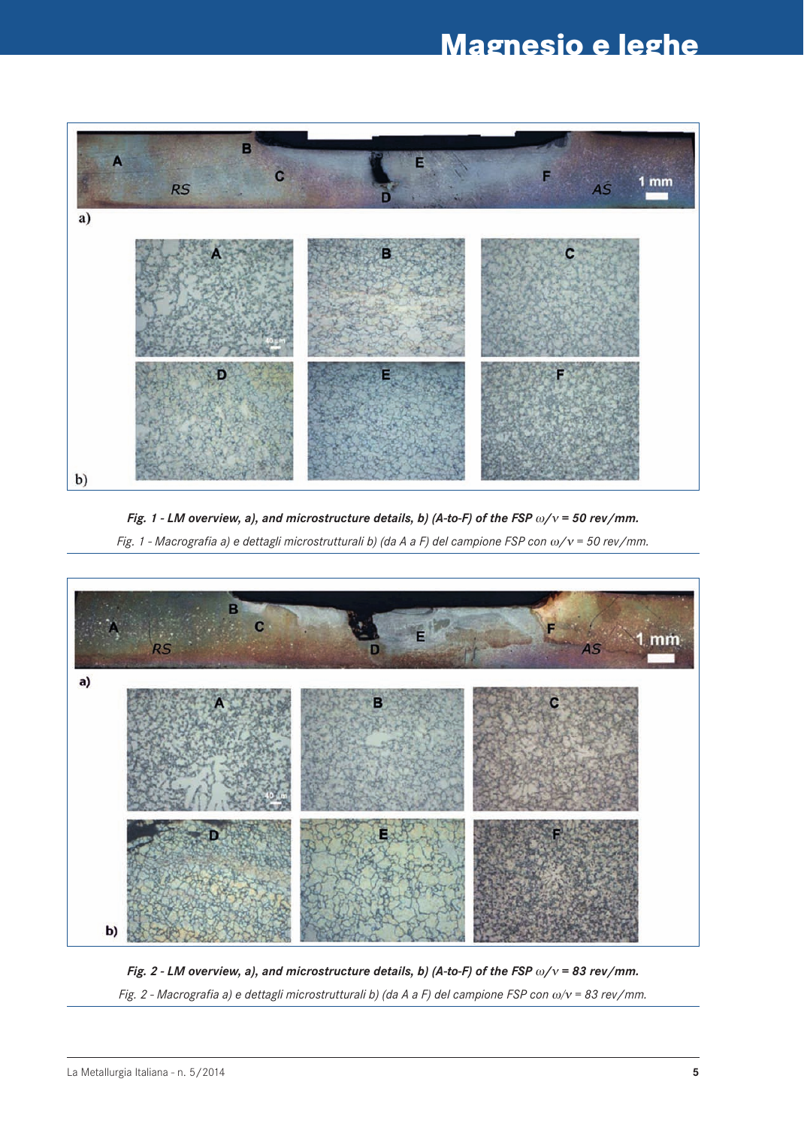## **Magnesio e leghe**



*Fig. 1 - LM overview, a), and microstructure details, b) (A-to-F) of the FSP* ω*/*ν *= 50 rev/mm.*

*Fig. 1 - Macrografia a) e dettagli microstrutturali b) (da A a F) del campione FSP con* ω*/*ν *= 50 rev/mm.*



*Fig. 2 - LM overview, a), and microstructure details, b) (A-to-F) of the FSP* ω*/*ν *= 83 rev/mm. Fig. 2 - Macrografia a) e dettagli microstrutturali b) (da A a F) del campione FSP con* ω/ν *= 83 rev/mm.*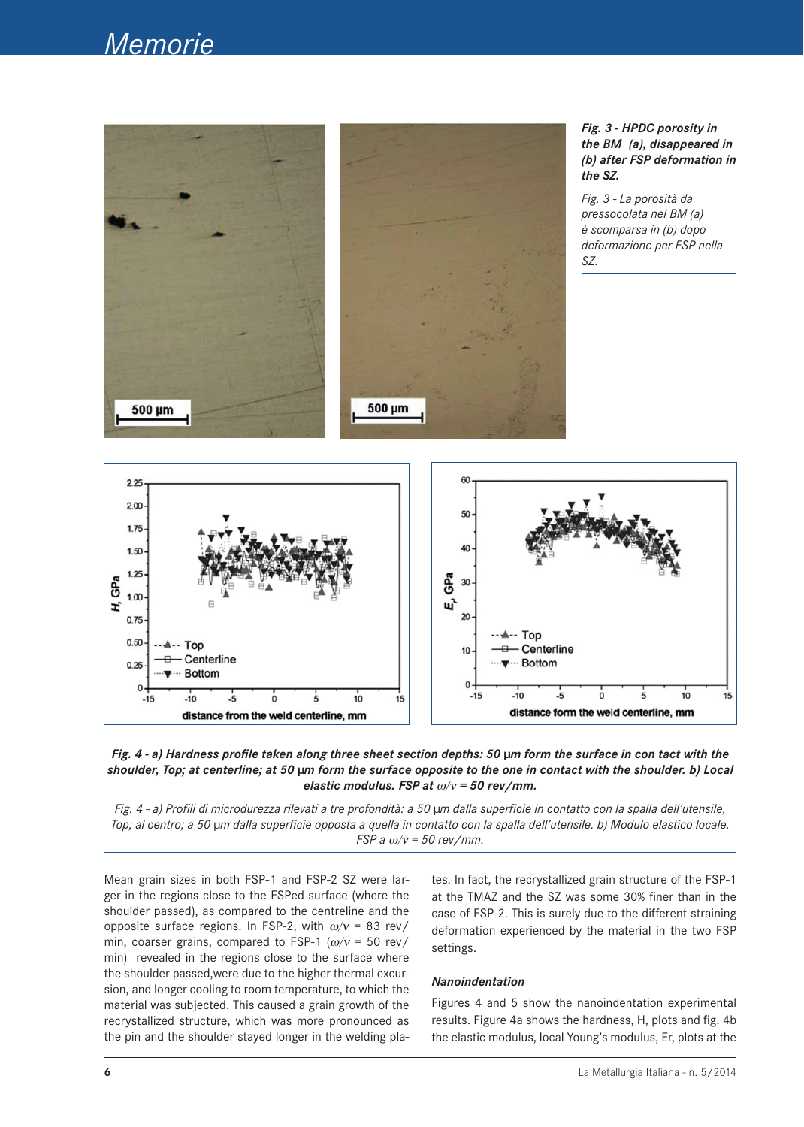### *Memorie*





*Fig. 4 - a) Profili di microdurezza rilevati a tre profondità: a 50 μm dalla superficie in contatto con la spalla dell'utensile, Top; al centro; a 50 μm dalla superficie opposta a quella in contatto con la spalla dell'utensile. b) Modulo elastico locale. FSP a* ω/ν *= 50 rev/mm.*

Mean grain sizes in both FSP-1 and FSP-2 SZ were larger in the regions close to the FSPed surface (where the shoulder passed), as compared to the centreline and the opposite surface regions. In FSP-2, with  $\omega/v = 83$  rev/ min, coarser grains, compared to FSP-1 ( $\omega/\nu$  = 50 rev/ min) revealed in the regions close to the surface where the shoulder passed,were due to the higher thermal excursion, and longer cooling to room temperature, to which the material was subjected. This caused a grain growth of the recrystallized structure, which was more pronounced as the pin and the shoulder stayed longer in the welding plates. In fact, the recrystallized grain structure of the FSP-1 at the TMAZ and the SZ was some 30% finer than in the case of FSP-2. This is surely due to the different straining deformation experienced by the material in the two FSP settings.

#### *Nanoindentation*

Figures 4 and 5 show the nanoindentation experimental results. Figure 4a shows the hardness, H, plots and fig. 4b the elastic modulus, local Young's modulus, Er, plots at the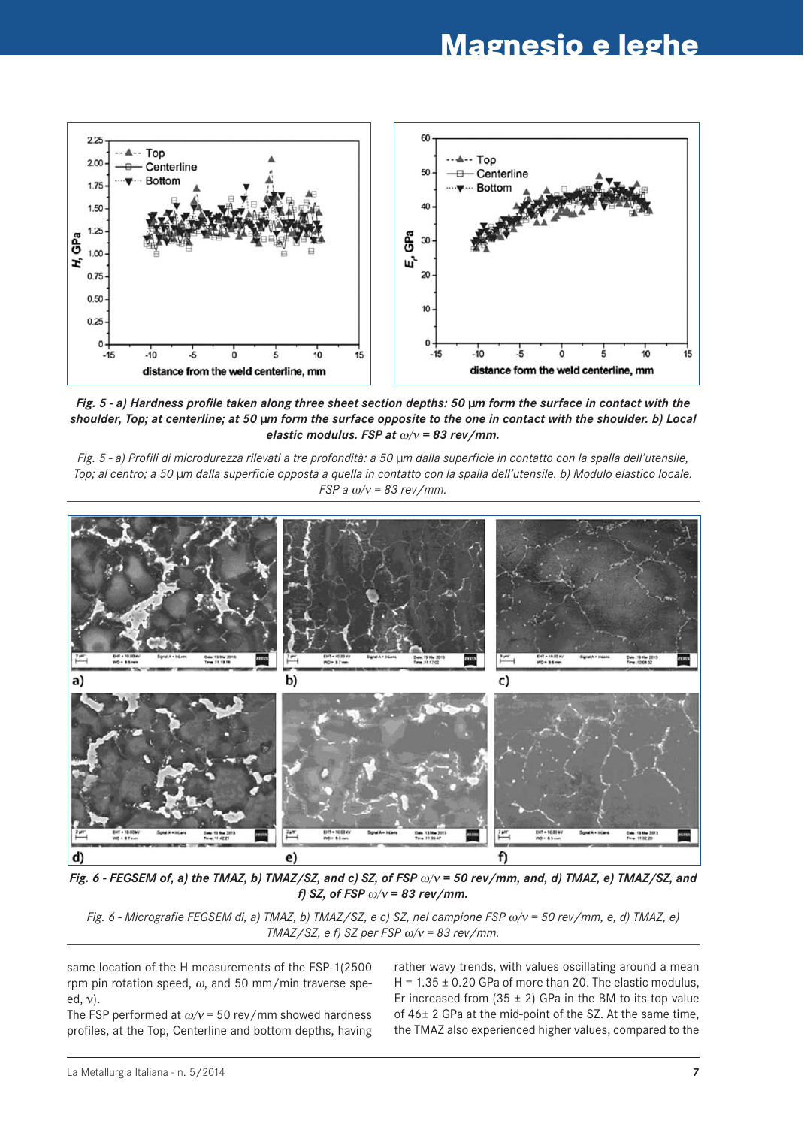

*Fig. 5 - a) Hardness profile taken along three sheet section depths: 50 μm form the surface in contact with the shoulder, Top; at centerline; at 50 μm form the surface opposite to the one in contact with the shoulder. b) Local elastic modulus. FSP at* ω/ν *= 83 rev/mm.*

*Fig. 5 - a) Profili di microdurezza rilevati a tre profondità: a 50 μm dalla superficie in contatto con la spalla dell'utensile, Top; al centro; a 50 μm dalla superficie opposta a quella in contatto con la spalla dell'utensile. b) Modulo elastico locale. FSP a* ω/ν *= 83 rev/mm.*



*Fig. 6 - FEGSEM of, a) the TMAZ, b) TMAZ/SZ, and c) SZ, of FSP* ω/ν *= 50 rev/mm, and, d) TMAZ, e) TMAZ/SZ, and f) SZ, of FSP* ω/ν *= 83 rev/mm.*

*Fig. 6 - Micrografie FEGSEM di, a) TMAZ, b) TMAZ/SZ, e c) SZ, nel campione FSP* ω/ν *= 50 rev/mm, e, d) TMAZ, e) TMAZ/SZ, e f) SZ per FSP* ω/ν *= 83 rev/mm.*

same location of the H measurements of the FSP-1(2500 rpm pin rotation speed,  $\omega$ , and 50 mm/min traverse speed, ν).

The FSP performed at  $\omega/v$  = 50 rev/mm showed hardness profiles, at the Top, Centerline and bottom depths, having rather wavy trends, with values oscillating around a mean H =  $1.35 \pm 0.20$  GPa of more than 20. The elastic modulus, Er increased from  $(35 \pm 2)$  GPa in the BM to its top value of 46± 2 GPa at the mid-point of the SZ. At the same time, the TMAZ also experienced higher values, compared to the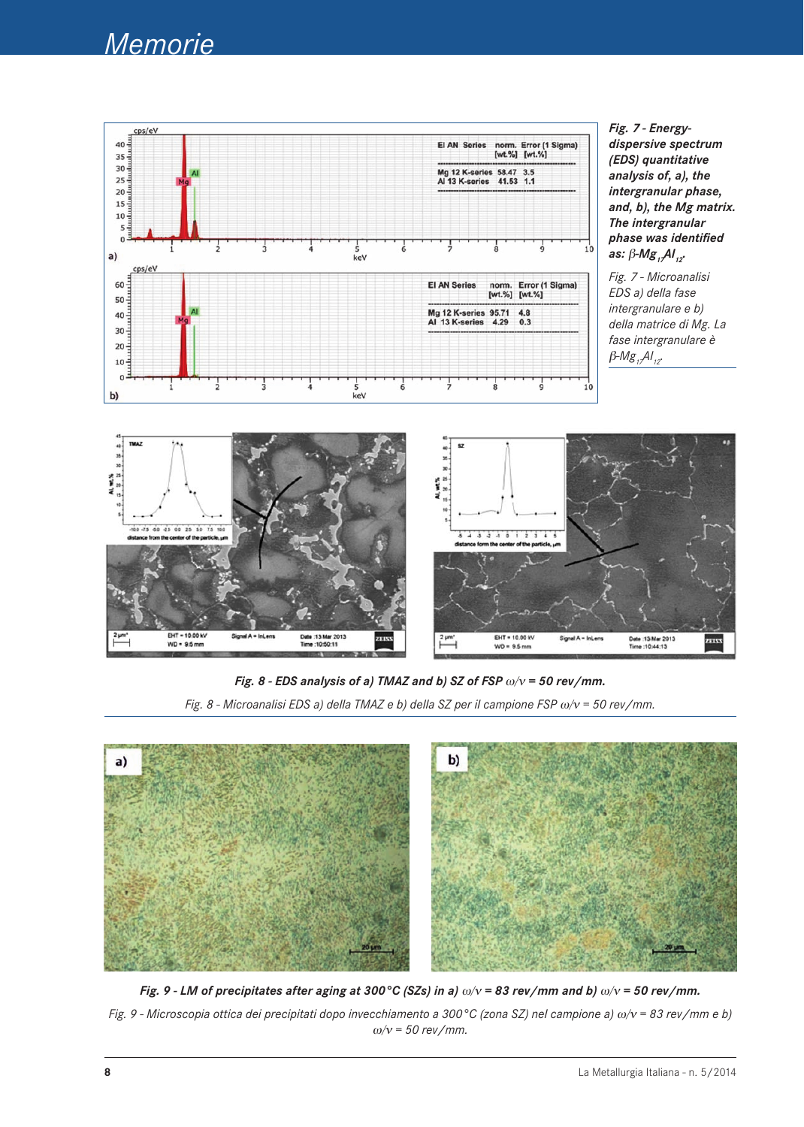



*Fig. 7 - Microanalisi EDS a) della fase intergranulare e b) della matrice di Mg. La fase intergranulare è*   $β$ -*Mg<sub>17</sub>Al<sub>12</sub>*.



*Fig. 8 - EDS analysis of a) TMAZ and b) SZ of FSP* ω/ν *= 50 rev/mm. Fig. 8 - Microanalisi EDS a) della TMAZ e b) della SZ per il campione FSP* ω/ν *= 50 rev/mm.*



*Fig. 9 - LM of precipitates after aging at 300°C (SZs) in a)* ω/ν *= 83 rev/mm and b)* ω/ν *= 50 rev/mm. Fig. 9 - Microscopia ottica dei precipitati dopo invecchiamento a 300°C (zona SZ) nel campione a)* ω/ν *= 83 rev/mm e b)*  ω/ν *= 50 rev/mm.*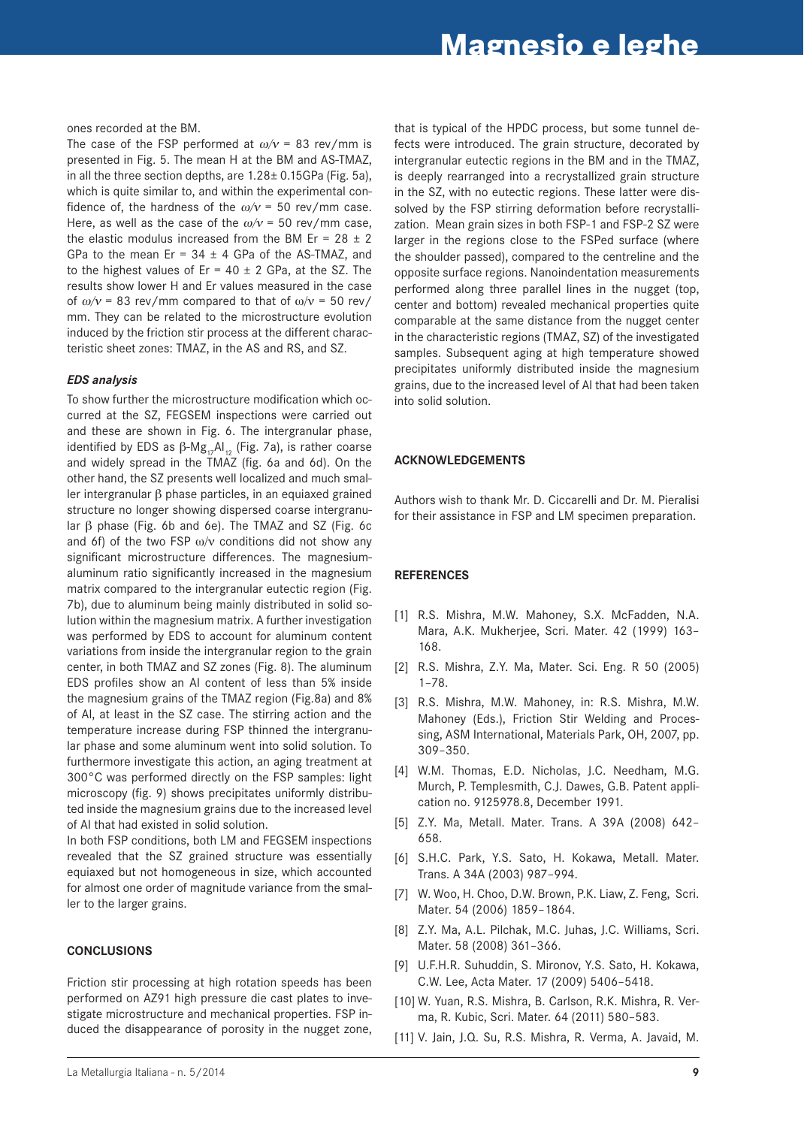#### ones recorded at the BM.

The case of the FSP performed at  $\omega/\nu$  = 83 rev/mm is presented in Fig. 5. The mean H at the BM and AS-TMAZ, in all the three section depths, are 1.28± 0.15GPa (Fig. 5a), which is quite similar to, and within the experimental confidence of, the hardness of the  $\omega/v = 50$  rev/mm case. Here, as well as the case of the  $\omega/v = 50$  rev/mm case, the elastic modulus increased from the BM Er =  $28 \pm 2$ GPa to the mean Er =  $34 \pm 4$  GPa of the AS-TMAZ, and to the highest values of Er =  $40 \pm 2$  GPa, at the SZ. The results show lower H and Er values measured in the case of  $\omega/\nu$  = 83 rev/mm compared to that of  $\omega/\nu$  = 50 rev/ mm. They can be related to the microstructure evolution induced by the friction stir process at the different characteristic sheet zones: TMAZ, in the AS and RS, and SZ.

#### *EDS analysis*

To show further the microstructure modification which occurred at the SZ, FEGSEM inspections were carried out and these are shown in Fig. 6. The intergranular phase, identified by EDS as  $\beta$ -Mg<sub>17</sub>Al<sub>12</sub> (Fig. 7a), is rather coarse and widely spread in the TMAZ (fig. 6a and 6d). On the other hand, the SZ presents well localized and much smaller intergranular β phase particles, in an equiaxed grained structure no longer showing dispersed coarse intergranular β phase (Fig. 6b and 6e). The TMAZ and SZ (Fig. 6c and 6f) of the two FSP  $\omega/v$  conditions did not show any significant microstructure differences. The magnesiumaluminum ratio significantly increased in the magnesium matrix compared to the intergranular eutectic region (Fig. 7b), due to aluminum being mainly distributed in solid solution within the magnesium matrix. A further investigation was performed by EDS to account for aluminum content variations from inside the intergranular region to the grain center, in both TMAZ and SZ zones (Fig. 8). The aluminum EDS profiles show an Al content of less than 5% inside the magnesium grains of the TMAZ region (Fig.8a) and 8% of Al, at least in the SZ case. The stirring action and the temperature increase during FSP thinned the intergranular phase and some aluminum went into solid solution. To furthermore investigate this action, an aging treatment at 300°C was performed directly on the FSP samples: light microscopy (fig. 9) shows precipitates uniformly distributed inside the magnesium grains due to the increased level of Al that had existed in solid solution.

In both FSP conditions, both LM and FEGSEM inspections revealed that the SZ grained structure was essentially equiaxed but not homogeneous in size, which accounted for almost one order of magnitude variance from the smaller to the larger grains.

#### **CoNCLuSIoNS**

Friction stir processing at high rotation speeds has been performed on AZ91 high pressure die cast plates to investigate microstructure and mechanical properties. FSP induced the disappearance of porosity in the nugget zone,

that is typical of the HPDC process, but some tunnel defects were introduced. The grain structure, decorated by intergranular eutectic regions in the BM and in the TMAZ, is deeply rearranged into a recrystallized grain structure in the SZ, with no eutectic regions. These latter were dissolved by the FSP stirring deformation before recrystallization. Mean grain sizes in both FSP-1 and FSP-2 SZ were larger in the regions close to the FSPed surface (where the shoulder passed), compared to the centreline and the opposite surface regions. Nanoindentation measurements performed along three parallel lines in the nugget (top, center and bottom) revealed mechanical properties quite comparable at the same distance from the nugget center in the characteristic regions (TMAZ, SZ) of the investigated samples. Subsequent aging at high temperature showed precipitates uniformly distributed inside the magnesium grains, due to the increased level of Al that had been taken into solid solution.

#### **ACKNowLEDgEMENtS**

Authors wish to thank Mr. D. Ciccarelli and Dr. M. Pieralisi for their assistance in FSP and LM specimen preparation.

#### **rEFErENCES**

- [1] R.S. Mishra, M.W. Mahoney, S.X. McFadden, N.A. Mara, A.K. Mukherjee, Scri. Mater. 42 (1999) 163– 168.
- [2] R.S. Mishra, Z.Y. Ma, Mater. Sci. Eng. R 50 (2005) 1–78.
- [3] R.S. Mishra, M.W. Mahoney, in: R.S. Mishra, M.W. Mahoney (Eds.), Friction Stir Welding and Processing, ASM International, Materials Park, OH, 2007, pp. 309–350.
- [4] W.M. Thomas, E.D. Nicholas, J.C. Needham, M.G. Murch, P. Templesmith, C.J. Dawes, G.B. Patent application no. 9125978.8, December 1991.
- [5] Z.Y. Ma, Metall. Mater. Trans. A 39A (2008) 642– 658.
- [6] S.H.C. Park, Y.S. Sato, H. Kokawa, Metall. Mater. Trans. A 34A (2003) 987–994.
- [7] W. Woo, H. Choo, D.W. Brown, P.K. Liaw, Z. Feng, Scri. Mater. 54 (2006) 1859–1864.
- [8] Z.Y. Ma, A.L. Pilchak, M.C. Juhas, J.C. Williams, Scri. Mater. 58 (2008) 361–366.
- [9] U.F.H.R. Suhuddin, S. Mironov, Y.S. Sato, H. Kokawa, C.W. Lee, Acta Mater. 17 (2009) 5406–5418.
- [10] W. Yuan, R.S. Mishra, B. Carlson, R.K. Mishra, R. Verma, R. Kubic, Scri. Mater. 64 (2011) 580–583.
- [11] V. Jain, J.Q. Su, R.S. Mishra, R. Verma, A. Javaid, M.